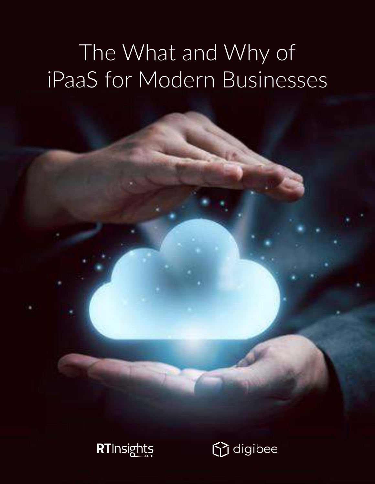# The What and Why of iPaaS for Modern Businesses



codigibee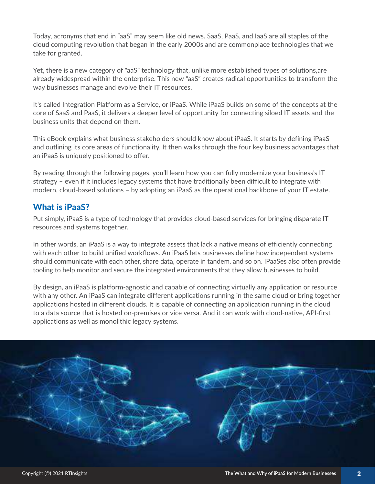Today, acronyms that end in "aaS" may seem like old news. SaaS, PaaS, and IaaS are all staples of the cloud computing revolution that began in the early 2000s and are commonplace technologies that we take for granted.

Yet, there is a new category of "aaS" technology that, unlike more established types of solutions,are already widespread within the enterprise. This new "aaS" creates radical opportunities to transform the way businesses manage and evolve their IT resources.

It's called Integration Platform as a Service, or iPaaS. While iPaaS builds on some of the concepts at the core of SaaS and PaaS, it delivers a deeper level of opportunity for connecting siloed IT assets and the business units that depend on them.

This eBook explains what business stakeholders should know about iPaaS. It starts by defining iPaaS and outlining its core areas of functionality. It then walks through the four key business advantages that an iPaaS is uniquely positioned to offer.

By reading through the following pages, you'll learn how you can fully modernize your business's IT strategy – even if it includes legacy systems that have traditionally been difficult to integrate with modern, cloud-based solutions – by adopting an iPaaS as the operational backbone of your IT estate.

#### What is iPaaS?

Put simply, iPaaS is a type of technology that provides cloud-based services for bringing disparate IT resources and systems together.

In other words, an iPaaS is a way to integrate assets that lack a native means of efficiently connecting with each other to build unified workflows. An iPaaS lets businesses define how independent systems should communicate with each other, share data, operate in tandem, and so on. IPaaSes also often provide tooling to help monitor and secure the integrated environments that they allow businesses to build.

By design, an iPaaS is platform-agnostic and capable of connecting virtually any application or resource with any other. An iPaaS can integrate different applications running in the same cloud or bring together applications hosted in different clouds. It is capable of connecting an application running in the cloud to a data source that is hosted on-premises or vice versa. And it can work with cloud-native, API-first applications as well as monolithic legacy systems.

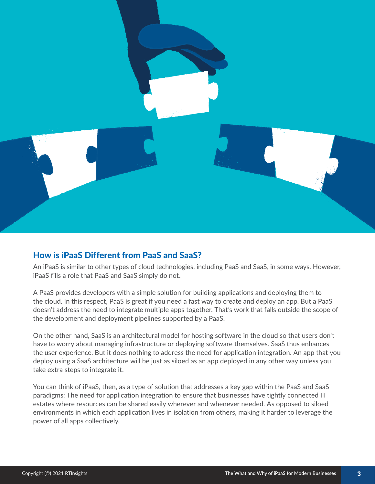

#### How is iPaaS Different from PaaS and SaaS?

An iPaaS is similar to other types of cloud technologies, including PaaS and SaaS, in some ways. However, iPaaS fills a role that PaaS and SaaS simply do not.

A PaaS provides developers with a simple solution for building applications and deploying them to the cloud. In this respect, PaaS is great if you need a fast way to create and deploy an app. But a PaaS doesn't address the need to integrate multiple apps together. That's work that falls outside the scope of the development and deployment pipelines supported by a PaaS.

On the other hand, SaaS is an architectural model for hosting software in the cloud so that users don't have to worry about managing infrastructure or deploying software themselves. SaaS thus enhances the user experience. But it does nothing to address the need for application integration. An app that you deploy using a SaaS architecture will be just as siloed as an app deployed in any other way unless you take extra steps to integrate it.

You can think of iPaaS, then, as a type of solution that addresses a key gap within the PaaS and SaaS paradigms: The need for application integration to ensure that businesses have tightly connected IT estates where resources can be shared easily wherever and whenever needed. As opposed to siloed environments in which each application lives in isolation from others, making it harder to leverage the power of all apps collectively.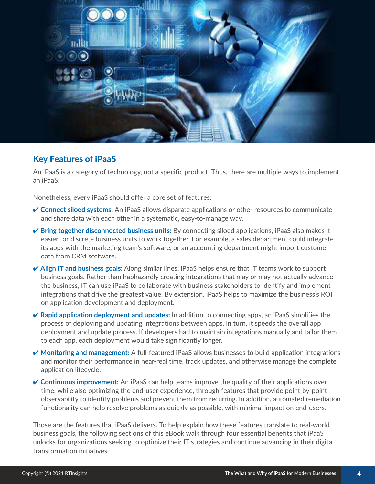

#### Key Features of iPaaS

An iPaaS is a category of technology, not a specific product. Thus, there are multiple ways to implement an iPaaS.

Nonetheless, every iPaaS should offer a core set of features:

- **Connect siloed systems:** An iPaaS allows disparate applications or other resources to communicate and share data with each other in a systematic, easy-to-manage way.
- $\checkmark$  **Bring together disconnected business units:** By connecting siloed applications, iPaaS also makes it easier for discrete business units to work together. For example, a sales department could integrate its apps with the marketing team's software, or an accounting department might import customer data from CRM software.
- **★ Align IT and business goals:** Along similar lines, iPaaS helps ensure that IT teams work to support business goals. Rather than haphazardly creating integrations that may or may not actually advance the business, IT can use iPaaS to collaborate with business stakeholders to identify and implement integrations that drive the greatest value. By extension, iPaaS helps to maximize the business's ROI on application development and deployment.
- **Rapid application deployment and updates:** In addition to connecting apps, an iPaaS simplifies the process of deploying and updating integrations between apps. In turn, it speeds the overall app deployment and update process. If developers had to maintain integrations manually and tailor them to each app, each deployment would take significantly longer.
- **Monitoring and management:** A full-featured iPaaS allows businesses to build application integrations and monitor their performance in near-real time, track updates, and otherwise manage the complete application lifecycle.
- **Continuous improvement:** An iPaaS can help teams improve the quality of their applications over time, while also optimizing the end-user experience, through features that provide point-by-point observability to identify problems and prevent them from recurring. In addition, automated remediation functionality can help resolve problems as quickly as possible, with minimal impact on end-users.

Those are the features that iPaaS delivers. To help explain how these features translate to real-world business goals, the following sections of this eBook walk through four essential benefits that iPaaS unlocks for organizations seeking to optimize their IT strategies and continue advancing in their digital transformation initiatives.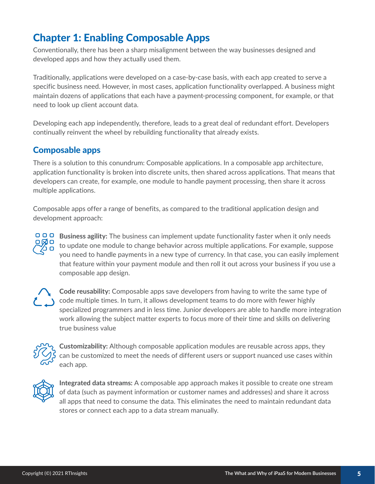# Chapter 1: Enabling Composable Apps

Conventionally, there has been a sharp misalignment between the way businesses designed and developed apps and how they actually used them.

Traditionally, applications were developed on a case-by-case basis, with each app created to serve a specific business need. However, in most cases, application functionality overlapped. A business might maintain dozens of applications that each have a payment-processing component, for example, or that need to look up client account data.

Developing each app independently, therefore, leads to a great deal of redundant effort. Developers continually reinvent the wheel by rebuilding functionality that already exists.

#### Composable apps

There is a solution to this conundrum: Composable applications. In a composable app architecture, application functionality is broken into discrete units, then shared across applications. That means that developers can create, for example, one module to handle payment processing, then share it across multiple applications.

Composable apps offer a range of benefits, as compared to the traditional application design and development approach:

000 **Business agility:** The business can implement update functionality faster when it only needs to update one module to change behavior across multiple applications. For example, suppose you need to handle payments in a new type of currency. In that case, you can easily implement that feature within your payment module and then roll it out across your business if you use a composable app design.



**Code reusability:** Composable apps save developers from having to write the same type of code multiple times. In turn, it allows development teams to do more with fewer highly specialized programmers and in less time. Junior developers are able to handle more integration work allowing the subject matter experts to focus more of their time and skills on delivering true business value



**Customizability:** Although composable application modules are reusable across apps, they can be customized to meet the needs of different users or support nuanced use cases within each app.



**Integrated data streams:** A composable app approach makes it possible to create one stream of data (such as payment information or customer names and addresses) and share it across all apps that need to consume the data. This eliminates the need to maintain redundant data stores or connect each app to a data stream manually.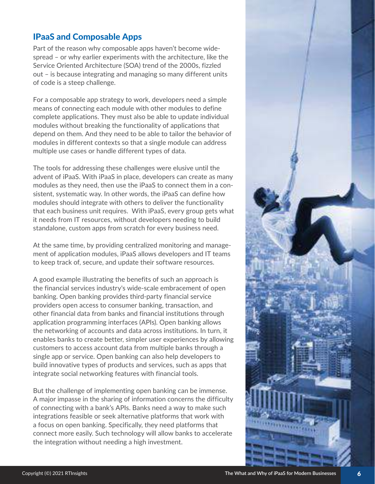#### IPaaS and Composable Apps

Part of the reason why composable apps haven't become widespread – or why earlier experiments with the architecture, like the Service Oriented Architecture (SOA) trend of the 2000s, fizzled out – is because integrating and managing so many different units of code is a steep challenge.

For a composable app strategy to work, developers need a simple means of connecting each module with other modules to define complete applications. They must also be able to update individual modules without breaking the functionality of applications that depend on them. And they need to be able to tailor the behavior of modules in different contexts so that a single module can address multiple use cases or handle different types of data.

The tools for addressing these challenges were elusive until the advent of iPaaS. With iPaaS in place, developers can create as many modules as they need, then use the iPaaS to connect them in a consistent, systematic way. In other words, the iPaaS can define how modules should integrate with others to deliver the functionality that each business unit requires. With iPaaS, every group gets what it needs from IT resources, without developers needing to build standalone, custom apps from scratch for every business need.

At the same time, by providing centralized monitoring and management of application modules, iPaaS allows developers and IT teams to keep track of, secure, and update their software resources.

A good example illustrating the benefits of such an approach is the financial services industry's wide-scale embracement of open banking. Open banking provides third-party financial service providers open access to consumer banking, transaction, and other financial data from banks and financial institutions through application programming interfaces (APIs). Open banking allows the networking of accounts and data across institutions. In turn, it enables banks to create better, simpler user experiences by allowing customers to access account data from multiple banks through a single app or service. Open banking can also help developers to build innovative types of products and services, such as apps that integrate social networking features with financial tools.

But the challenge of implementing open banking can be immense. A major impasse in the sharing of information concerns the difficulty of connecting with a bank's APIs. Banks need a way to make such integrations feasible or seek alternative platforms that work with a focus on open banking. Specifically, they need platforms that connect more easily. Such technology will allow banks to accelerate the integration without needing a high investment.

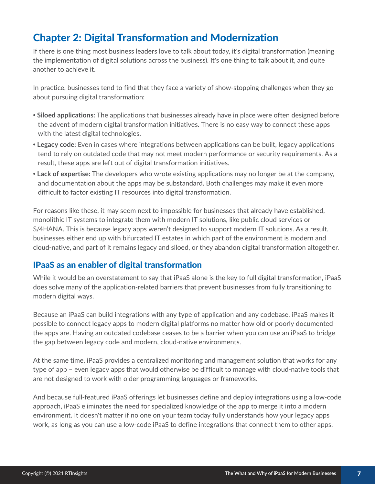# Chapter 2: Digital Transformation and Modernization

If there is one thing most business leaders love to talk about today, it's digital transformation (meaning the implementation of digital solutions across the business). It's one thing to talk about it, and quite another to achieve it.

In practice, businesses tend to find that they face a variety of show-stopping challenges when they go about pursuing digital transformation:

- **Ǟ Siloed applications:** The applications that businesses already have in place were often designed before the advent of modern digital transformation initiatives. There is no easy way to connect these apps with the latest digital technologies.
- **Ǟ Legacy code:** Even in cases where integrations between applications can be built, legacy applications tend to rely on outdated code that may not meet modern performance or security requirements. As a result, these apps are left out of digital transformation initiatives.
- **Ǟ Lack of expertise:** The developers who wrote existing applications may no longer be at the company, and documentation about the apps may be substandard. Both challenges may make it even more difficult to factor existing IT resources into digital transformation.

For reasons like these, it may seem next to impossible for businesses that already have established, monolithic IT systems to integrate them with modern IT solutions, like public cloud services or S/4HANA. This is because legacy apps weren't designed to support modern IT solutions. As a result, businesses either end up with bifurcated IT estates in which part of the environment is modern and cloud-native, and part of it remains legacy and siloed, or they abandon digital transformation altogether.

#### IPaaS as an enabler of digital transformation

While it would be an overstatement to say that iPaaS alone is the key to full digital transformation, iPaaS does solve many of the application-related barriers that prevent businesses from fully transitioning to modern digital ways.

Because an iPaaS can build integrations with any type of application and any codebase, iPaaS makes it possible to connect legacy apps to modern digital platforms no matter how old or poorly documented the apps are. Having an outdated codebase ceases to be a barrier when you can use an iPaaS to bridge the gap between legacy code and modern, cloud-native environments.

At the same time, iPaaS provides a centralized monitoring and management solution that works for any type of app – even legacy apps that would otherwise be difficult to manage with cloud-native tools that are not designed to work with older programming languages or frameworks.

And because full-featured iPaaS offerings let businesses define and deploy integrations using a low-code approach, iPaaS eliminates the need for specialized knowledge of the app to merge it into a modern environment. It doesn't matter if no one on your team today fully understands how your legacy apps work, as long as you can use a low-code iPaaS to define integrations that connect them to other apps.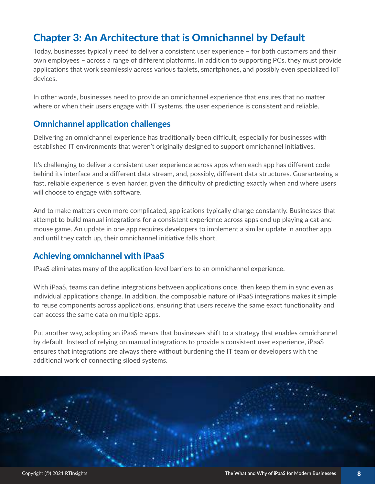# Chapter 3: An Architecture that is Omnichannel by Default

Today, businesses typically need to deliver a consistent user experience – for both customers and their own employees – across a range of different platforms. In addition to supporting PCs, they must provide applications that work seamlessly across various tablets, smartphones, and possibly even specialized IoT devices.

In other words, businesses need to provide an omnichannel experience that ensures that no matter where or when their users engage with IT systems, the user experience is consistent and reliable.

#### Omnichannel application challenges

Delivering an omnichannel experience has traditionally been difficult, especially for businesses with established IT environments that weren't originally designed to support omnichannel initiatives.

It's challenging to deliver a consistent user experience across apps when each app has different code behind its interface and a different data stream, and, possibly, different data structures. Guaranteeing a fast, reliable experience is even harder, given the difficulty of predicting exactly when and where users will choose to engage with software.

And to make matters even more complicated, applications typically change constantly. Businesses that attempt to build manual integrations for a consistent experience across apps end up playing a cat-andmouse game. An update in one app requires developers to implement a similar update in another app, and until they catch up, their omnichannel initiative falls short.

#### Achieving omnichannel with iPaaS

IPaaS eliminates many of the application-level barriers to an omnichannel experience.

With iPaaS, teams can define integrations between applications once, then keep them in sync even as individual applications change. In addition, the composable nature of iPaaS integrations makes it simple to reuse components across applications, ensuring that users receive the same exact functionality and can access the same data on multiple apps.

Put another way, adopting an iPaaS means that businesses shift to a strategy that enables omnichannel by default. Instead of relying on manual integrations to provide a consistent user experience, iPaaS ensures that integrations are always there without burdening the IT team or developers with the additional work of connecting siloed systems.

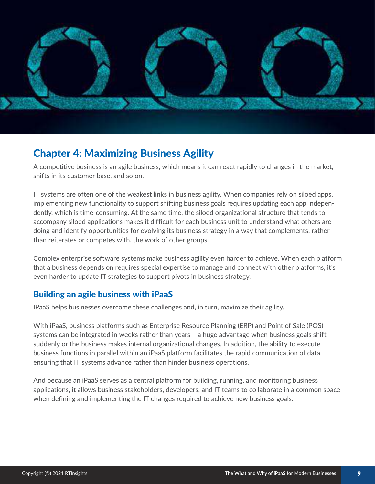

### Chapter 4: Maximizing Business Agility

A competitive business is an agile business, which means it can react rapidly to changes in the market, shifts in its customer base, and so on.

IT systems are often one of the weakest links in business agility. When companies rely on siloed apps, implementing new functionality to support shifting business goals requires updating each app independently, which is time-consuming. At the same time, the siloed organizational structure that tends to accompany siloed applications makes it difficult for each business unit to understand what others are doing and identify opportunities for evolving its business strategy in a way that complements, rather than reiterates or competes with, the work of other groups.

Complex enterprise software systems make business agility even harder to achieve. When each platform that a business depends on requires special expertise to manage and connect with other platforms, it's even harder to update IT strategies to support pivots in business strategy.

#### Building an agile business with iPaaS

IPaaS helps businesses overcome these challenges and, in turn, maximize their agility.

With iPaaS, business platforms such as Enterprise Resource Planning (ERP) and Point of Sale (POS) systems can be integrated in weeks rather than years – a huge advantage when business goals shift suddenly or the business makes internal organizational changes. In addition, the ability to execute business functions in parallel within an iPaaS platform facilitates the rapid communication of data, ensuring that IT systems advance rather than hinder business operations.

And because an iPaaS serves as a central platform for building, running, and monitoring business applications, it allows business stakeholders, developers, and IT teams to collaborate in a common space when defining and implementing the IT changes required to achieve new business goals.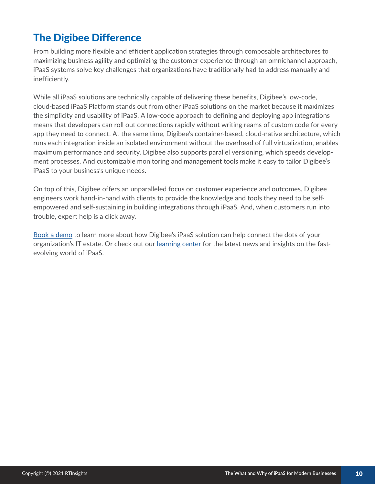# The Digibee Difference

From building more flexible and efficient application strategies through composable architectures to maximizing business agility and optimizing the customer experience through an omnichannel approach, iPaaS systems solve key challenges that organizations have traditionally had to address manually and inefficiently.

While all iPaaS solutions are technically capable of delivering these benefits, Digibee's low-code, cloud-based iPaaS Platform stands out from other iPaaS solutions on the market because it maximizes the simplicity and usability of iPaaS. A low-code approach to defining and deploying app integrations means that developers can roll out connections rapidly without writing reams of custom code for every app they need to connect. At the same time, Digibee's container-based, cloud-native architecture, which runs each integration inside an isolated environment without the overhead of full virtualization, enables maximum performance and security. Digibee also supports parallel versioning, which speeds development processes. And customizable monitoring and management tools make it easy to tailor Digibee's iPaaS to your business's unique needs.

On top of this, Digibee offers an unparalleled focus on customer experience and outcomes. Digibee engineers work hand-in-hand with clients to provide the knowledge and tools they need to be selfempowered and self-sustaining in building integrations through iPaaS. And, when customers run into trouble, expert help is a click away.

Book a demo to learn more about how Digibee's iPaaS solution can help connect the dots of your organization's IT estate. Or check out our learning center for the latest news and insights on the fastevolving world of iPaaS.